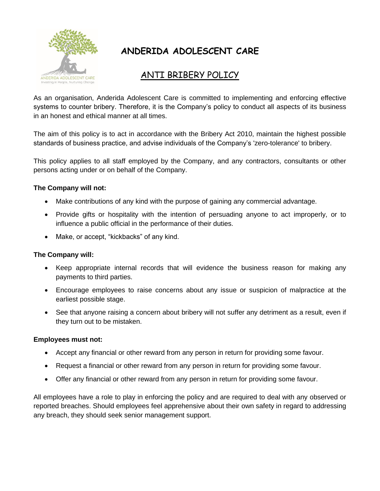

# **ANDERIDA ADOLESCENT CARE**

## ANTI BRIBERY POLICY

As an organisation, Anderida Adolescent Care is committed to implementing and enforcing effective systems to counter bribery. Therefore, it is the Company's policy to conduct all aspects of its business in an honest and ethical manner at all times.

The aim of this policy is to act in accordance with the Bribery Act 2010, maintain the highest possible standards of business practice, and advise individuals of the Company's 'zero-tolerance' to bribery.

This policy applies to all staff employed by the Company, and any contractors, consultants or other persons acting under or on behalf of the Company.

### **The Company will not:**

- Make contributions of any kind with the purpose of gaining any commercial advantage.
- Provide gifts or hospitality with the intention of persuading anyone to act improperly, or to influence a public official in the performance of their duties.
- Make, or accept, "kickbacks" of any kind.

#### **The Company will:**

- Keep appropriate internal records that will evidence the business reason for making any payments to third parties.
- Encourage employees to raise concerns about any issue or suspicion of malpractice at the earliest possible stage.
- See that anyone raising a concern about bribery will not suffer any detriment as a result, even if they turn out to be mistaken.

#### **Employees must not:**

- Accept any financial or other reward from any person in return for providing some favour.
- Request a financial or other reward from any person in return for providing some favour.
- Offer any financial or other reward from any person in return for providing some favour.

All employees have a role to play in enforcing the policy and are required to deal with any observed or reported breaches. Should employees feel apprehensive about their own safety in regard to addressing any breach, they should seek senior management support.